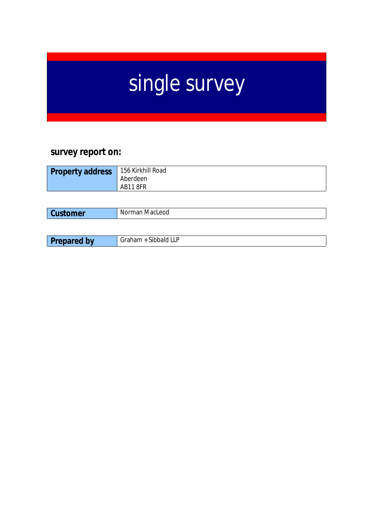# single survey

## **survey report on:**

| 156 Kirkhill Road<br><b>Property address</b><br>Aberdeen<br>AB118FR |
|---------------------------------------------------------------------|
|---------------------------------------------------------------------|

| -<br>mer | eod<br>Macl<br>Normar.<br>__ |
|----------|------------------------------|
|          |                              |

| <b>There</b><br>~…<br>v v<br>.<br>. . | .<br>יי<br>$\overline{1}$<br>·∟∟<br>------- |
|---------------------------------------|---------------------------------------------|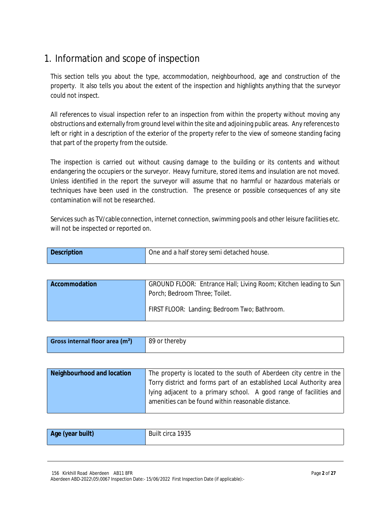## 1. Information and scope of inspection

This section tells you about the type, accommodation, neighbourhood, age and construction of the property. It also tells you about the extent of the inspection and highlights anything that the surveyor could not inspect.

All references to visual inspection refer to an inspection from within the property without moving any obstructions and externally from ground level within the site and adjoining public areas. Any referencesto left or right in a description of the exterior of the property refer to the view of someone standing facing that part of the property from the outside.

The inspection is carried out without causing damage to the building or its contents and without endangering the occupiers or the surveyor. Heavy furniture, stored items and insulation are not moved. Unless identified in the report the surveyor will assume that no harmful or hazardous materials or techniques have been used in the construction. The presence or possible consequences of any site contamination will not be researched.

Services such as TV/cable connection, internet connection, swimming pools and other leisure facilities etc. will not be inspected or reported on.

| <b>Description</b> | One and a half storey semi detached house. |
|--------------------|--------------------------------------------|
|                    |                                            |

| <b>Accommodation</b> | GROUND FLOOR: Entrance Hall; Living Room; Kitchen leading to Sun<br>Porch; Bedroom Three; Toilet. |
|----------------------|---------------------------------------------------------------------------------------------------|
|                      | FIRST FLOOR: Landing; Bedroom Two; Bathroom.                                                      |

| 89 or thereby<br>Gross internal floor area $(m2)$ |  |
|---------------------------------------------------|--|
|---------------------------------------------------|--|

| Neighbourhood and location | The property is located to the south of Aberdeen city centre in the  |
|----------------------------|----------------------------------------------------------------------|
|                            | Torry district and forms part of an established Local Authority area |
|                            | lying adjacent to a primary school. A good range of facilities and   |
|                            | amenities can be found within reasonable distance.                   |
|                            |                                                                      |

| Age (year built) | Built circa 1935 |
|------------------|------------------|
|------------------|------------------|

156 Kirkhill Road Aberdeen AB11 8FR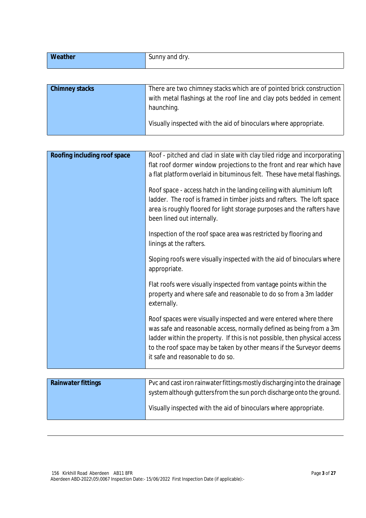| Weather               | Sunny and dry.                                                                                                                                             |
|-----------------------|------------------------------------------------------------------------------------------------------------------------------------------------------------|
|                       |                                                                                                                                                            |
| <b>Chimney stacks</b> | There are two chimney stacks which are of pointed brick construction<br>with metal flashings at the roof line and clay pots bedded in cement<br>haunching. |
|                       | Visually inspected with the aid of binoculars where appropriate.                                                                                           |

| Roofing including roof space | Roof - pitched and clad in slate with clay tiled ridge and incorporating                                                                                                                                                                                                                                                        |
|------------------------------|---------------------------------------------------------------------------------------------------------------------------------------------------------------------------------------------------------------------------------------------------------------------------------------------------------------------------------|
|                              | flat roof dormer window projections to the front and rear which have                                                                                                                                                                                                                                                            |
|                              | a flat platform overlaid in bituminous felt. These have metal flashings.                                                                                                                                                                                                                                                        |
|                              | Roof space - access hatch in the landing ceiling with aluminium loft<br>ladder. The roof is framed in timber joists and rafters. The loft space<br>area is roughly floored for light storage purposes and the rafters have<br>been lined out internally.                                                                        |
|                              | Inspection of the roof space area was restricted by flooring and<br>linings at the rafters.                                                                                                                                                                                                                                     |
|                              | Sloping roofs were visually inspected with the aid of binoculars where<br>appropriate.                                                                                                                                                                                                                                          |
|                              | Flat roofs were visually inspected from vantage points within the<br>property and where safe and reasonable to do so from a 3m ladder<br>externally.                                                                                                                                                                            |
|                              | Roof spaces were visually inspected and were entered where there<br>was safe and reasonable access, normally defined as being from a 3m<br>ladder within the property. If this is not possible, then physical access<br>to the roof space may be taken by other means if the Surveyor deems<br>it safe and reasonable to do so. |

| <b>Rainwater fittings</b> | Pvc and cast iron rainwater fittings mostly discharging into the drainage<br>system although gutters from the sun porch discharge onto the ground. |
|---------------------------|----------------------------------------------------------------------------------------------------------------------------------------------------|
|                           | Visually inspected with the aid of binoculars where appropriate.                                                                                   |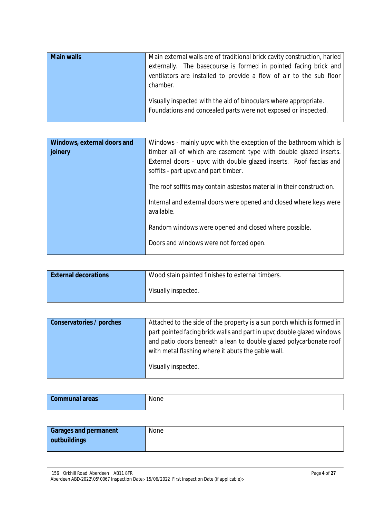| <b>Main walls</b> | Main external walls are of traditional brick cavity construction, harled<br>externally. The basecourse is formed in pointed facing brick and<br>ventilators are installed to provide a flow of air to the sub floor<br>chamber. |
|-------------------|---------------------------------------------------------------------------------------------------------------------------------------------------------------------------------------------------------------------------------|
|                   | Visually inspected with the aid of binoculars where appropriate.<br>Foundations and concealed parts were not exposed or inspected.                                                                                              |

| Windows, external doors and | Windows - mainly upvc with the exception of the bathroom which is                |
|-----------------------------|----------------------------------------------------------------------------------|
| joinery                     | timber all of which are casement type with double glazed inserts.                |
|                             | External doors - upvc with double glazed inserts. Roof fascias and               |
|                             | soffits - part upvc and part timber.                                             |
|                             | The roof soffits may contain asbestos material in their construction.            |
|                             | Internal and external doors were opened and closed where keys were<br>available. |
|                             | Random windows were opened and closed where possible.                            |
|                             | Doors and windows were not forced open.                                          |

| <b>External decorations</b> | Wood stain painted finishes to external timbers. |
|-----------------------------|--------------------------------------------------|
|                             | Visually inspected.                              |

| <b>Conservatories / porches</b> | Attached to the side of the property is a sun porch which is formed in |
|---------------------------------|------------------------------------------------------------------------|
|                                 | part pointed facing brick walls and part in upvc double glazed windows |
|                                 | and patio doors beneath a lean to double glazed polycarbonate roof     |
|                                 | with metal flashing where it abuts the gable wall.                     |
|                                 | Visually inspected.                                                    |

| <b>Communal areas</b> | None |
|-----------------------|------|
|                       |      |

| <b>Garages and permanent</b> | None |
|------------------------------|------|
| outbuildings                 |      |

<sup>156</sup> Kirkhill Road Aberdeen AB11 8FR

Aberdeen ABD-2022\05\0067 Inspection Date:- 15/06/2022 First Inspection Date (if applicable):-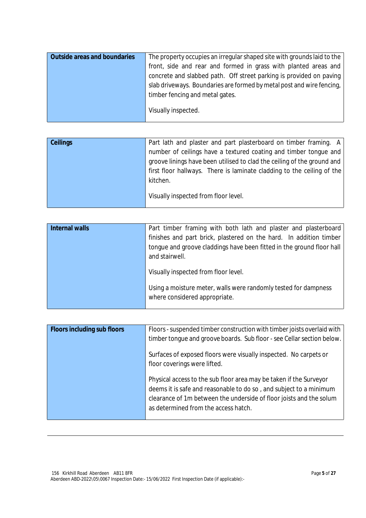| <b>Outside areas and boundaries</b> | The property occupies an irregular shaped site with grounds laid to the |
|-------------------------------------|-------------------------------------------------------------------------|
|                                     | front, side and rear and formed in grass with planted areas and         |
|                                     | concrete and slabbed path. Off street parking is provided on paving     |
|                                     | slab driveways. Boundaries are formed by metal post and wire fencing,   |
|                                     | timber fencing and metal gates.                                         |
|                                     | Visually inspected.                                                     |

| <b>Ceilings</b> | Part lath and plaster and part plasterboard on timber framing. A                                                                            |
|-----------------|---------------------------------------------------------------------------------------------------------------------------------------------|
|                 | number of ceilings have a textured coating and timber tongue and<br>groove linings have been utilised to clad the ceiling of the ground and |
|                 | first floor hallways. There is laminate cladding to the ceiling of the                                                                      |
|                 | kitchen.                                                                                                                                    |
|                 | Visually inspected from floor level.                                                                                                        |

| <b>Internal walls</b> | Part timber framing with both lath and plaster and plasterboard<br>finishes and part brick, plastered on the hard. In addition timber<br>tonque and groove claddings have been fitted in the ground floor hall<br>and stairwell. |
|-----------------------|----------------------------------------------------------------------------------------------------------------------------------------------------------------------------------------------------------------------------------|
|                       | Visually inspected from floor level.<br>Using a moisture meter, walls were randomly tested for dampness                                                                                                                          |
|                       | where considered appropriate.                                                                                                                                                                                                    |

| <b>Floors including sub floors</b> | Floors - suspended timber construction with timber joists overlaid with<br>timber tonque and groove boards. Sub floor - see Cellar section below.                                                                                                       |
|------------------------------------|---------------------------------------------------------------------------------------------------------------------------------------------------------------------------------------------------------------------------------------------------------|
|                                    | Surfaces of exposed floors were visually inspected. No carpets or<br>floor coverings were lifted.                                                                                                                                                       |
|                                    | Physical access to the sub floor area may be taken if the Surveyor<br>deems it is safe and reasonable to do so, and subject to a minimum<br>clearance of 1m between the underside of floor joists and the solum<br>as determined from the access hatch. |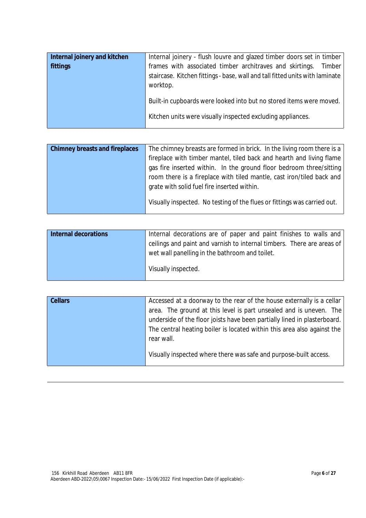| Internal joinery and kitchen | Internal joinery - flush louvre and glazed timber doors set in timber                                                                                              |
|------------------------------|--------------------------------------------------------------------------------------------------------------------------------------------------------------------|
| fittings                     | frames with associated timber architraves and skirtings.<br>Timber  <br>staircase. Kitchen fittings - base, wall and tall fitted units with laminate  <br>worktop. |
|                              | Built-in cupboards were looked into but no stored items were moved.<br>Kitchen units were visually inspected excluding appliances.                                 |

| <b>Chimney breasts and fireplaces</b> | The chimney breasts are formed in brick. In the living room there is a   |
|---------------------------------------|--------------------------------------------------------------------------|
|                                       | fireplace with timber mantel, tiled back and hearth and living flame     |
|                                       | gas fire inserted within. In the ground floor bedroom three/sitting      |
|                                       | room there is a fireplace with tiled mantle, cast iron/tiled back and    |
|                                       | grate with solid fuel fire inserted within.                              |
|                                       | Visually inspected. No testing of the flues or fittings was carried out. |

| <b>Internal decorations</b> | Internal decorations are of paper and paint finishes to walls and      |
|-----------------------------|------------------------------------------------------------------------|
|                             | ceilings and paint and varnish to internal timbers. There are areas of |
|                             | wet wall panelling in the bathroom and toilet.                         |
|                             | Visually inspected.                                                    |
|                             |                                                                        |

| <b>Cellars</b> | Accessed at a doorway to the rear of the house externally is a cellar    |
|----------------|--------------------------------------------------------------------------|
|                | area. The ground at this level is part unsealed and is uneven. The       |
|                | underside of the floor joists have been partially lined in plasterboard. |
|                | The central heating boiler is located within this area also against the  |
|                | rear wall.                                                               |
|                | Visually inspected where there was safe and purpose-built access.        |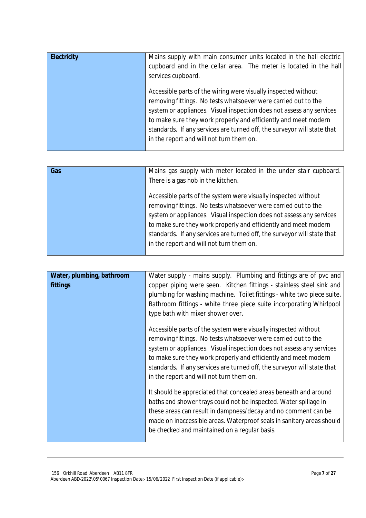| <b>Electricity</b> | Mains supply with main consumer units located in the hall electric  <br>cupboard and in the cellar area. The meter is located in the hall<br>services cupboard.                                                                                                                                                                                                                                    |
|--------------------|----------------------------------------------------------------------------------------------------------------------------------------------------------------------------------------------------------------------------------------------------------------------------------------------------------------------------------------------------------------------------------------------------|
|                    | Accessible parts of the wiring were visually inspected without<br>removing fittings. No tests whatsoever were carried out to the<br>system or appliances. Visual inspection does not assess any services<br>to make sure they work properly and efficiently and meet modern<br>standards. If any services are turned off, the surveyor will state that<br>in the report and will not turn them on. |

| Gas | Mains gas supply with meter located in the under stair cupboard.<br>There is a gas hob in the kitchen.                                                                                                                                                                                                                                                                                             |
|-----|----------------------------------------------------------------------------------------------------------------------------------------------------------------------------------------------------------------------------------------------------------------------------------------------------------------------------------------------------------------------------------------------------|
|     | Accessible parts of the system were visually inspected without<br>removing fittings. No tests whatsoever were carried out to the<br>system or appliances. Visual inspection does not assess any services<br>to make sure they work properly and efficiently and meet modern<br>standards. If any services are turned off, the surveyor will state that<br>in the report and will not turn them on. |

| Water, plumbing, bathroom<br>fittings | Water supply - mains supply. Plumbing and fittings are of pvc and<br>copper piping were seen. Kitchen fittings - stainless steel sink and<br>plumbing for washing machine. Toilet fittings - white two piece suite.<br>Bathroom fittings - white three piece suite incorporating Whirlpool<br>type bath with mixer shower over.                                                                    |
|---------------------------------------|----------------------------------------------------------------------------------------------------------------------------------------------------------------------------------------------------------------------------------------------------------------------------------------------------------------------------------------------------------------------------------------------------|
|                                       | Accessible parts of the system were visually inspected without<br>removing fittings. No tests whatsoever were carried out to the<br>system or appliances. Visual inspection does not assess any services<br>to make sure they work properly and efficiently and meet modern<br>standards. If any services are turned off, the surveyor will state that<br>in the report and will not turn them on. |
|                                       | It should be appreciated that concealed areas beneath and around<br>baths and shower trays could not be inspected. Water spillage in<br>these areas can result in dampness/decay and no comment can be<br>made on inaccessible areas. Waterproof seals in sanitary areas should<br>be checked and maintained on a regular basis.                                                                   |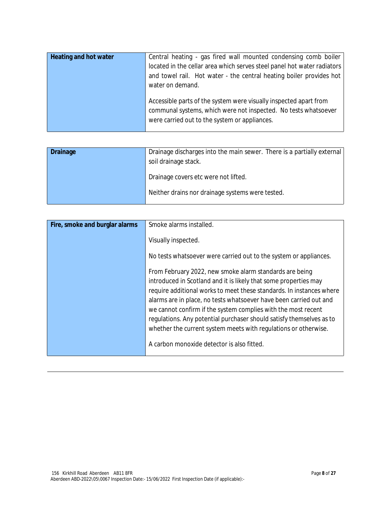| <b>Heating and hot water</b> | Central heating - gas fired wall mounted condensing comb boiler<br>located in the cellar area which serves steel panel hot water radiators<br>and towel rail. Hot water - the central heating boiler provides hot<br>water on demand. |
|------------------------------|---------------------------------------------------------------------------------------------------------------------------------------------------------------------------------------------------------------------------------------|
|                              | Accessible parts of the system were visually inspected apart from<br>communal systems, which were not inspected. No tests whatsoever<br>were carried out to the system or appliances.                                                 |

| Drainage | Drainage discharges into the main sewer. There is a partially external<br>soil drainage stack. |  |
|----------|------------------------------------------------------------------------------------------------|--|
|          | Drainage covers etc were not lifted.                                                           |  |
|          | Neither drains nor drainage systems were tested.                                               |  |

| Fire, smoke and burglar alarms | Smoke alarms installed.                                              |
|--------------------------------|----------------------------------------------------------------------|
|                                |                                                                      |
|                                | Visually inspected.                                                  |
|                                | No tests whatsoever were carried out to the system or appliances.    |
|                                | From February 2022, new smoke alarm standards are being              |
|                                | introduced in Scotland and it is likely that some properties may     |
|                                | require additional works to meet these standards. In instances where |
|                                | alarms are in place, no tests whatsoever have been carried out and   |
|                                | we cannot confirm if the system complies with the most recent        |
|                                | regulations. Any potential purchaser should satisfy themselves as to |
|                                | whether the current system meets with regulations or otherwise.      |
|                                | A carbon monoxide detector is also fitted.                           |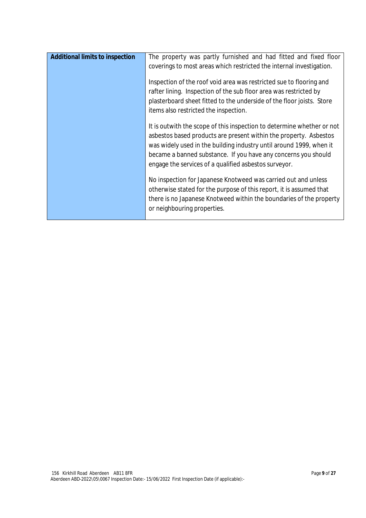| <b>Additional limits to inspection</b> | The property was partly furnished and had fitted and fixed floor<br>coverings to most areas which restricted the internal investigation.<br>Inspection of the roof void area was restricted sue to flooring and<br>rafter lining. Inspection of the sub floor area was restricted by<br>plasterboard sheet fitted to the underside of the floor joists. Store<br>items also restricted the inspection. |
|----------------------------------------|--------------------------------------------------------------------------------------------------------------------------------------------------------------------------------------------------------------------------------------------------------------------------------------------------------------------------------------------------------------------------------------------------------|
|                                        | It is outwith the scope of this inspection to determine whether or not<br>asbestos based products are present within the property. Asbestos<br>was widely used in the building industry until around 1999, when it<br>became a banned substance. If you have any concerns you should<br>engage the services of a qualified asbestos surveyor.                                                          |
|                                        | No inspection for Japanese Knotweed was carried out and unless<br>otherwise stated for the purpose of this report, it is assumed that<br>there is no Japanese Knotweed within the boundaries of the property<br>or neighbouring properties.                                                                                                                                                            |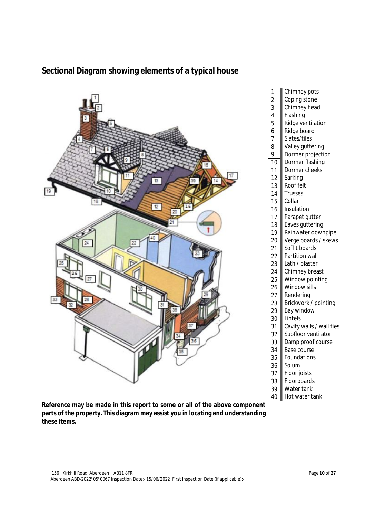

## **Sectional Diagram showing elements of a typical house**

**Reference may be made in this report to some or all of the above component parts of the property. This diagram may assist you in locating and understanding these items.**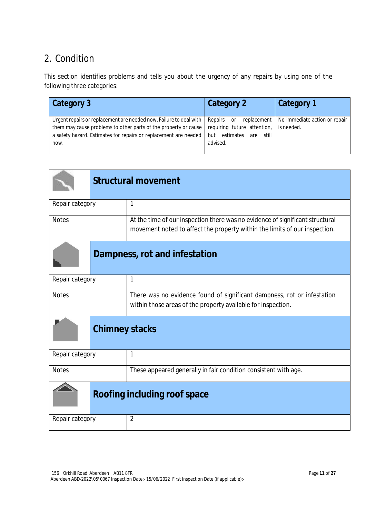## 2. Condition

This section identifies problems and tells you about the urgency of any repairs by using one of the following three categories:

| Category 3                                                                                                                                                                                                          | Category 2                                                                                                    | Category 1                                  |
|---------------------------------------------------------------------------------------------------------------------------------------------------------------------------------------------------------------------|---------------------------------------------------------------------------------------------------------------|---------------------------------------------|
| Urgent repairs or replacement are needed now. Failure to deal with  <br>them may cause problems to other parts of the property or cause<br>a safety hazard. Estimates for repairs or replacement are needed<br>now. | Repairs<br>replacement  <br>or<br>requiring future attention,<br>estimates<br>still<br>but<br>are<br>advised. | No immediate action or repair<br>is needed. |

|                               | <b>Structural movement</b> |                                                                                                                                                             |
|-------------------------------|----------------------------|-------------------------------------------------------------------------------------------------------------------------------------------------------------|
| Repair category               |                            | 1                                                                                                                                                           |
| <b>Notes</b>                  |                            | At the time of our inspection there was no evidence of significant structural<br>movement noted to affect the property within the limits of our inspection. |
| Dampness, rot and infestation |                            |                                                                                                                                                             |
| Repair category               |                            | 1                                                                                                                                                           |
| <b>Notes</b>                  |                            | There was no evidence found of significant dampness, rot or infestation<br>within those areas of the property available for inspection.                     |
|                               | <b>Chimney stacks</b>      |                                                                                                                                                             |
| Repair category               |                            | $\mathbf{1}$                                                                                                                                                |
| <b>Notes</b>                  |                            | These appeared generally in fair condition consistent with age.                                                                                             |
|                               |                            | Roofing including roof space                                                                                                                                |
| Repair category               |                            | $\overline{2}$                                                                                                                                              |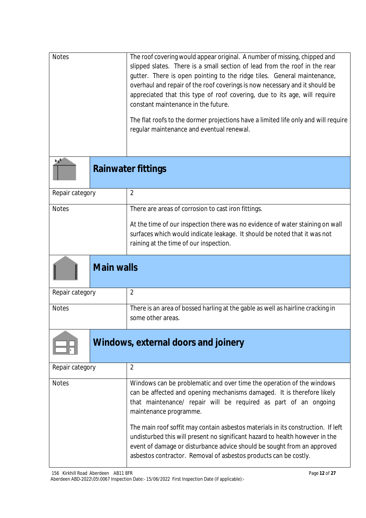| <b>Notes</b> | The roof covering would appear original. A number of missing, chipped and          |
|--------------|------------------------------------------------------------------------------------|
|              | slipped slates. There is a small section of lead from the roof in the rear         |
|              | gutter. There is open pointing to the ridge tiles. General maintenance,            |
|              | overhaul and repair of the roof coverings is now necessary and it should be        |
|              | appreciated that this type of roof covering, due to its age, will require          |
|              | constant maintenance in the future.                                                |
|              |                                                                                    |
|              | The flat roofs to the dormer projections have a limited life only and will require |
|              | regular maintenance and eventual renewal.                                          |
|              |                                                                                    |

| Rai |
|-----|

 $\frac{1}{2}$ 

**Rainwater fittings**

| Repair category |                                                                                                                                                                                                                                                             |
|-----------------|-------------------------------------------------------------------------------------------------------------------------------------------------------------------------------------------------------------------------------------------------------------|
| <b>Notes</b>    | There are areas of corrosion to cast iron fittings.<br>At the time of our inspection there was no evidence of water staining on wall<br>surfaces which would indicate leakage. It should be noted that it was not<br>raining at the time of our inspection. |
|                 |                                                                                                                                                                                                                                                             |

## **Main walls**

| Repair category |                                                                                 |
|-----------------|---------------------------------------------------------------------------------|
|                 |                                                                                 |
| <b>Notes</b>    | There is an area of bossed harling at the gable as well as hairline cracking in |
|                 | some other areas.                                                               |
|                 |                                                                                 |



# **Windows, external doors and joinery**

| Repair category | $\overline{2}$                                                                                                                                                                                                                                                                                                                                                                                                                                                                                                                                                  |
|-----------------|-----------------------------------------------------------------------------------------------------------------------------------------------------------------------------------------------------------------------------------------------------------------------------------------------------------------------------------------------------------------------------------------------------------------------------------------------------------------------------------------------------------------------------------------------------------------|
| <b>Notes</b>    | Windows can be problematic and over time the operation of the windows<br>can be affected and opening mechanisms damaged. It is therefore likely<br>that maintenance/ repair will be required as part of an ongoing<br>maintenance programme.<br>The main roof soffit may contain asbestos materials in its construction. If left<br>undisturbed this will present no significant hazard to health however in the<br>event of damage or disturbance advice should be sought from an approved<br>asbestos contractor. Removal of asbestos products can be costly. |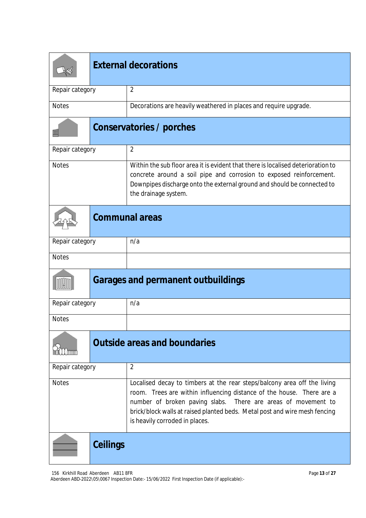|                 | <b>External decorations</b> |                                                                                                                                                                                                                                                                                                                                       |  |  |
|-----------------|-----------------------------|---------------------------------------------------------------------------------------------------------------------------------------------------------------------------------------------------------------------------------------------------------------------------------------------------------------------------------------|--|--|
| Repair category |                             | $\overline{2}$                                                                                                                                                                                                                                                                                                                        |  |  |
| <b>Notes</b>    |                             | Decorations are heavily weathered in places and require upgrade.                                                                                                                                                                                                                                                                      |  |  |
| ΠI              |                             | Conservatories / porches                                                                                                                                                                                                                                                                                                              |  |  |
| Repair category |                             | $\overline{2}$                                                                                                                                                                                                                                                                                                                        |  |  |
| <b>Notes</b>    |                             | Within the sub floor area it is evident that there is localised deterioration to<br>concrete around a soil pipe and corrosion to exposed reinforcement.<br>Downpipes discharge onto the external ground and should be connected to<br>the drainage system.                                                                            |  |  |
|                 |                             | <b>Communal areas</b>                                                                                                                                                                                                                                                                                                                 |  |  |
| Repair category |                             | n/a                                                                                                                                                                                                                                                                                                                                   |  |  |
| <b>Notes</b>    |                             |                                                                                                                                                                                                                                                                                                                                       |  |  |
|                 |                             | <b>Garages and permanent outbuildings</b>                                                                                                                                                                                                                                                                                             |  |  |
| Repair category |                             | n/a                                                                                                                                                                                                                                                                                                                                   |  |  |
| <b>Notes</b>    |                             |                                                                                                                                                                                                                                                                                                                                       |  |  |
|                 |                             | <b>Outside areas and boundaries</b>                                                                                                                                                                                                                                                                                                   |  |  |
| Repair category |                             | $\overline{2}$                                                                                                                                                                                                                                                                                                                        |  |  |
| <b>Notes</b>    |                             | Localised decay to timbers at the rear steps/balcony area off the living<br>room. Trees are within influencing distance of the house. There are a<br>number of broken paving slabs.<br>There are areas of movement to<br>brick/block walls at raised planted beds. Metal post and wire mesh fencing<br>is heavily corroded in places. |  |  |
|                 | <b>Ceilings</b>             |                                                                                                                                                                                                                                                                                                                                       |  |  |

156 Kirkhill Road Aberdeen AB11 8FR Aberdeen ABD-2022\05\0067 Inspection Date:- 15/06/2022 First Inspection Date (if applicable):-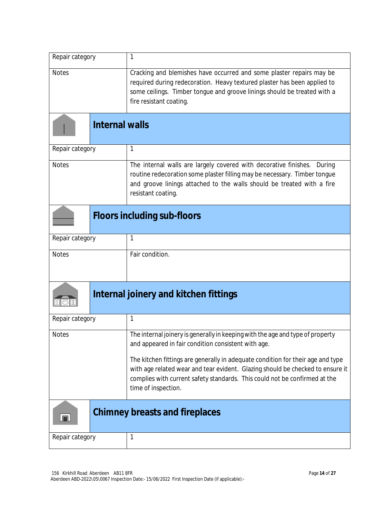| Repair category       | 1                                                                                                                                                                                                                                                                      |  |
|-----------------------|------------------------------------------------------------------------------------------------------------------------------------------------------------------------------------------------------------------------------------------------------------------------|--|
| <b>Notes</b>          | Cracking and blemishes have occurred and some plaster repairs may be<br>required during redecoration. Heavy textured plaster has been applied to<br>some ceilings. Timber tongue and groove linings should be treated with a<br>fire resistant coating.                |  |
| <b>Internal walls</b> |                                                                                                                                                                                                                                                                        |  |
| Repair category       | 1                                                                                                                                                                                                                                                                      |  |
| <b>Notes</b>          | The internal walls are largely covered with decorative finishes. During<br>routine redecoration some plaster filling may be necessary. Timber tongue<br>and groove linings attached to the walls should be treated with a fire<br>resistant coating.                   |  |
|                       | <b>Floors including sub-floors</b>                                                                                                                                                                                                                                     |  |
| Repair category       | 1                                                                                                                                                                                                                                                                      |  |
| <b>Notes</b>          | Fair condition.                                                                                                                                                                                                                                                        |  |
|                       | Internal joinery and kitchen fittings                                                                                                                                                                                                                                  |  |
| Repair category       | 1                                                                                                                                                                                                                                                                      |  |
| <b>Notes</b>          | The internal joinery is generally in keeping with the age and type of property<br>and appeared in fair condition consistent with age.                                                                                                                                  |  |
|                       | The kitchen fittings are generally in adequate condition for their age and type<br>with age related wear and tear evident. Glazing should be checked to ensure it<br>complies with current safety standards. This could not be confirmed at the<br>time of inspection. |  |
| IП                    | <b>Chimney breasts and fireplaces</b>                                                                                                                                                                                                                                  |  |
| Repair category       | 1                                                                                                                                                                                                                                                                      |  |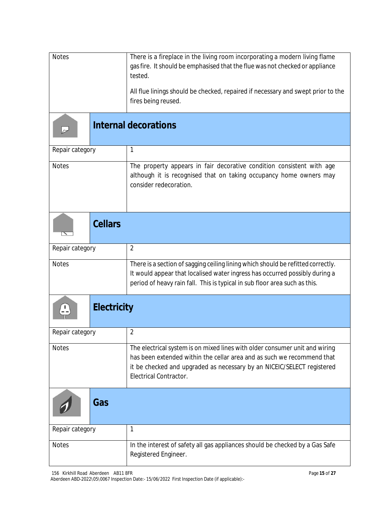| <b>Notes</b>       | There is a fireplace in the living room incorporating a modern living flame<br>gas fire. It should be emphasised that the flue was not checked or appliance<br>tested.                                                                                    |
|--------------------|-----------------------------------------------------------------------------------------------------------------------------------------------------------------------------------------------------------------------------------------------------------|
|                    | All flue linings should be checked, repaired if necessary and swept prior to the<br>fires being reused.                                                                                                                                                   |
|                    | <b>Internal decorations</b>                                                                                                                                                                                                                               |
| Repair category    | 1                                                                                                                                                                                                                                                         |
| <b>Notes</b>       | The property appears in fair decorative condition consistent with age<br>although it is recognised that on taking occupancy home owners may<br>consider redecoration.                                                                                     |
| <b>Cellars</b>     |                                                                                                                                                                                                                                                           |
| Repair category    | $\overline{2}$                                                                                                                                                                                                                                            |
| <b>Notes</b>       | There is a section of sagging ceiling lining which should be refitted correctly.<br>It would appear that localised water ingress has occurred possibly during a<br>period of heavy rain fall. This is typical in sub floor area such as this.             |
| <b>Electricity</b> |                                                                                                                                                                                                                                                           |
| Repair category    | $\overline{2}$                                                                                                                                                                                                                                            |
| <b>Notes</b>       | The electrical system is on mixed lines with older consumer unit and wiring<br>has been extended within the cellar area and as such we recommend that<br>it be checked and upgraded as necessary by an NICEIC/SELECT registered<br>Electrical Contractor. |
| Gas                |                                                                                                                                                                                                                                                           |
| Repair category    | 1                                                                                                                                                                                                                                                         |
| <b>Notes</b>       | In the interest of safety all gas appliances should be checked by a Gas Safe<br>Registered Engineer.                                                                                                                                                      |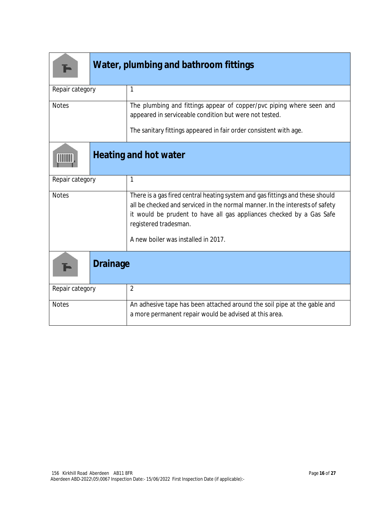|                 | Water, plumbing and bathroom fittings |                                                                                                                                                                                                                                                                                                       |  |  |
|-----------------|---------------------------------------|-------------------------------------------------------------------------------------------------------------------------------------------------------------------------------------------------------------------------------------------------------------------------------------------------------|--|--|
| Repair category |                                       | 1                                                                                                                                                                                                                                                                                                     |  |  |
| <b>Notes</b>    |                                       | The plumbing and fittings appear of copper/pvc piping where seen and<br>appeared in serviceable condition but were not tested.                                                                                                                                                                        |  |  |
|                 |                                       | The sanitary fittings appeared in fair order consistent with age.                                                                                                                                                                                                                                     |  |  |
|                 |                                       | <b>Heating and hot water</b>                                                                                                                                                                                                                                                                          |  |  |
| Repair category |                                       | 1                                                                                                                                                                                                                                                                                                     |  |  |
| <b>Notes</b>    |                                       | There is a gas fired central heating system and gas fittings and these should<br>all be checked and serviced in the normal manner. In the interests of safety<br>it would be prudent to have all gas appliances checked by a Gas Safe<br>registered tradesman.<br>A new boiler was installed in 2017. |  |  |
|                 | <b>Drainage</b>                       |                                                                                                                                                                                                                                                                                                       |  |  |
| Repair category |                                       | $\overline{2}$                                                                                                                                                                                                                                                                                        |  |  |
| <b>Notes</b>    |                                       | An adhesive tape has been attached around the soil pipe at the gable and<br>a more permanent repair would be advised at this area.                                                                                                                                                                    |  |  |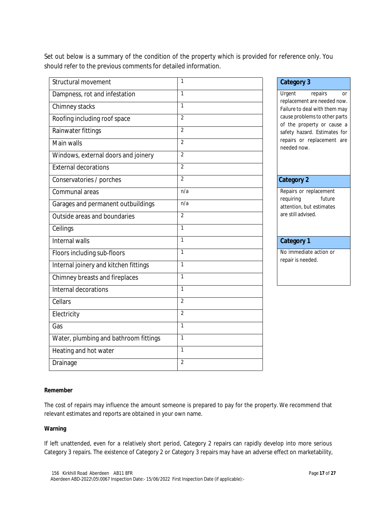Set out below is a summary of the condition of the property which is provided for reference only. You should refer to the previous comments for detailed information.

| Structural movement                   | $\mathbf{1}$   | <b>Category 3</b>                                           |
|---------------------------------------|----------------|-------------------------------------------------------------|
| Dampness, rot and infestation         | $\mathbf{1}$   | Urgent<br>repairs<br><b>Or</b>                              |
| Chimney stacks                        | $\mathbf{1}$   | replacement are needed now<br>Failure to deal with them may |
| Roofing including roof space          | $\overline{2}$ | cause problems to other parts<br>of the property or cause a |
| Rainwater fittings                    | $\overline{2}$ | safety hazard. Estimates for                                |
| Main walls                            | $\overline{2}$ | repairs or replacement are<br>needed now.                   |
| Windows, external doors and joinery   | $\overline{2}$ |                                                             |
| <b>External decorations</b>           | $\overline{2}$ |                                                             |
| Conservatories / porches              | $\overline{2}$ | <b>Category 2</b>                                           |
| Communal areas                        | n/a            | Repairs or replacement                                      |
| Garages and permanent outbuildings    | n/a            | requiring<br>future<br>attention, but estimates             |
| Outside areas and boundaries          | $\overline{2}$ | are still advised.                                          |
| Ceilings                              | $\mathbf{1}$   |                                                             |
|                                       |                |                                                             |
| Internal walls                        | $\mathbf{1}$   | <b>Category 1</b>                                           |
| Floors including sub-floors           | $\mathbf{1}$   | No immediate action or                                      |
| Internal joinery and kitchen fittings | $\mathbf{1}$   | repair is needed.                                           |
| Chimney breasts and fireplaces        | $\mathbf{1}$   |                                                             |
| Internal decorations                  | $\mathbf{1}$   |                                                             |
| Cellars                               | $\overline{2}$ |                                                             |
| Electricity                           | $\overline{2}$ |                                                             |
| Gas                                   | $\mathbf{1}$   |                                                             |
| Water, plumbing and bathroom fittings | $\mathbf{1}$   |                                                             |
| Heating and hot water                 | $\mathbf{1}$   |                                                             |
| Drainage                              | $\overline{2}$ |                                                             |

#### **Remember**

The cost of repairs may influence the amount someone is prepared to pay for the property. We recommend that relevant estimates and reports are obtained in your own name.

#### **Warning**

If left unattended, even for a relatively short period, Category 2 repairs can rapidly develop into more serious Category 3 repairs. The existence of Category 2 or Category 3 repairs may have an adverse effect on marketability,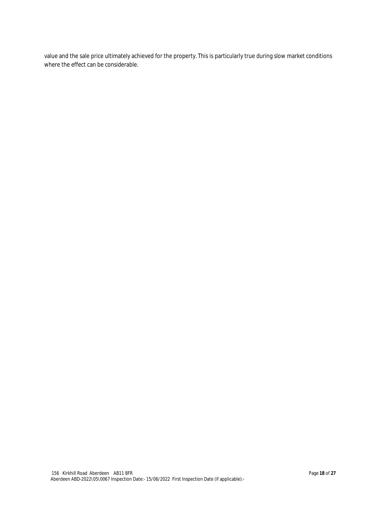value and the sale price ultimately achieved for the property. This is particularly true during slow market conditions where the effect can be considerable.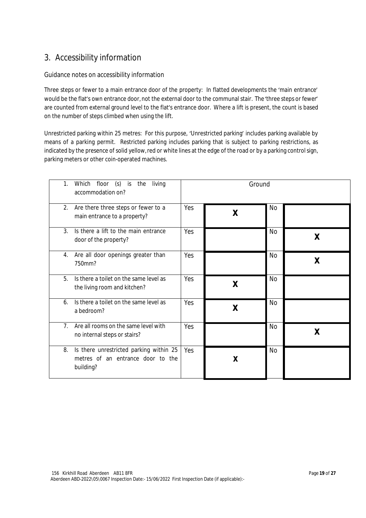## 3. Accessibility information

### Guidance notes on accessibility information

Three steps or fewer to a main entrance door of the property: In flatted developments the 'main entrance' would be the flat's own entrance door, not the external door to the communal stair. The'three steps or fewer' are counted from external ground level to the flat's entrance door. Where a lift is present, the count is based on the number of steps climbed when using the lift.

Unrestricted parking within 25 metres: For this purpose, 'Unrestricted parking' includes parking available by means of a parking permit. Restricted parking includes parking that is subject to parking restrictions, as indicated by the presence of solid yellow, red or white lines at the edge of the road or by a parking control sign, parking meters or other coin-operated machines.

| $(s)$ is<br>$\mathbf{1}$ .<br>floor<br>Which<br>the<br>living<br>accommodation on?              | Ground |   |           |   |
|-------------------------------------------------------------------------------------------------|--------|---|-----------|---|
| 2.<br>Are there three steps or fewer to a<br>main entrance to a property?                       | Yes    | X | No        |   |
| 3.<br>Is there a lift to the main entrance<br>door of the property?                             | Yes    |   | No        | X |
| Are all door openings greater than<br>4.<br>750mm?                                              | Yes    |   | No        | X |
| 5.<br>Is there a toilet on the same level as<br>the living room and kitchen?                    | Yes    | X | <b>No</b> |   |
| Is there a toilet on the same level as<br>6.<br>a bedroom?                                      | Yes    | X | No        |   |
| 7 <sub>1</sub><br>Are all rooms on the same level with<br>no internal steps or stairs?          | Yes    |   | No        | χ |
| Is there unrestricted parking within 25<br>8.<br>metres of an entrance door to the<br>building? | Yes    | X | <b>No</b> |   |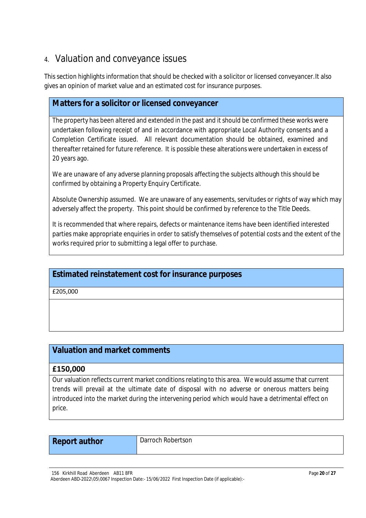## 4. Valuation and conveyance issues

This section highlights information that should be checked with a solicitor or licensed conveyancer.It also gives an opinion of market value and an estimated cost for insurance purposes.

## **Matters for a solicitor or licensed conveyancer**

The property has been altered and extended in the past and it should be confirmed these works were undertaken following receipt of and in accordance with appropriate Local Authority consents and a Completion Certificate issued. All relevant documentation should be obtained, examined and thereafter retained for future reference. It is possible these alterations were undertaken in excess of 20 years ago.

We are unaware of any adverse planning proposals affecting the subjects although this should be confirmed by obtaining a Property Enquiry Certificate.

Absolute Ownership assumed. We are unaware of any easements, servitudes or rights of way which may adversely affect the property. This point should be confirmed by reference to the Title Deeds.

It is recommended that where repairs, defects or maintenance items have been identified interested parties make appropriate enquiries in order to satisfy themselves of potential costs and the extent of the works required prior to submitting a legal offer to purchase.

## **Estimated reinstatement cost for insurance purposes**

£205,000

## **Valuation and market comments**

## **£150,000**

Our valuation reflects current market conditions relating to this area. We would assume that current trends will prevail at the ultimate date of disposal with no adverse or onerous matters being introduced into the market during the intervening period which would have a detrimental effect on price.

| <b>Report author</b> |  |
|----------------------|--|
|----------------------|--|

**Darroch Robertson** 

156 Kirkhill Road Aberdeen AB11 8FR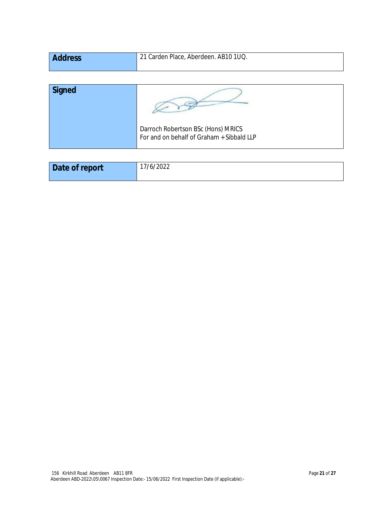| <b>Address</b> | 21 Carden Place, Aberdeen. AB10 1UQ. |
|----------------|--------------------------------------|
|                |                                      |

| <b>Signed</b> |                                                                                 |
|---------------|---------------------------------------------------------------------------------|
|               | Darroch Robertson BSc (Hons) MRICS<br>For and on behalf of Graham + Sibbald LLP |

| Date of report | /6/2022 |
|----------------|---------|
|                |         |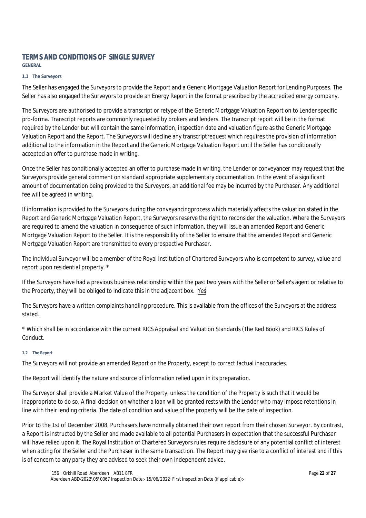## **TERMS AND CONDITIONS OF SINGLE SURVEY**

**GENERAL**

#### **1.1 The Surveyors**

The Seller has engaged the Surveyors to provide the Report and a Generic Mortgage Valuation Report for Lending Purposes. The Seller has also engaged the Surveyors to provide an Energy Report in the format prescribed by the accredited energy company.

The Surveyors are authorised to provide a transcript or retype of the Generic Mortgage Valuation Report on to Lender specific pro-forma. Transcript reports are commonly requested by brokers and lenders. The transcript report will be in the format required by the Lender but will contain the same information, inspection date and valuation figure as the Generic Mortgage Valuation Report and the Report. The Surveyors will decline any transcript request which requires the provision of information additional to the information in the Report and the Generic Mortgage Valuation Report until the Seller has conditionally accepted an offer to purchase made in writing.

Once the Seller has conditionally accepted an offer to purchase made in writing, the Lender or conveyancer may request that the Surveyors provide general comment on standard appropriate supplementary documentation. In the event of a significant amount of documentation being provided to the Surveyors, an additional fee may be incurred by the Purchaser. Any additional fee will be agreed in writing.

If information is provided to the Surveyors during the conveyancing process which materially affects the valuation stated in the Report and Generic Mortgage Valuation Report, the Surveyors reserve the right to reconsider the valuation. Where the Surveyors are required to amend the valuation in consequence of such information, they will issue an amended Report and Generic Mortgage Valuation Report to the Seller. It is the responsibility of the Seller to ensure that the amended Report and Generic Mortgage Valuation Report are transmitted to every prospective Purchaser.

The individual Surveyor will be a member of the Royal Institution of Chartered Surveyors who is competent to survey, value and report upon residential property. \*

If the Surveyors have had a previous business relationship within the past two years with the Seller or Seller's agent or relative to the Property, they will be obliged to indicate this in the adjacent box. Yes

The Surveyors have a written complaints handling procedure. This is available from the offices of the Surveyors at the address stated.

\* Which shall be in accordance with the current RICS Appraisal and Valuation Standards (The Red Book) and RICS Rules of Conduct.

#### **1.2 The Report**

The Surveyors will not provide an amended Report on the Property, except to correct factual inaccuracies.

The Report will identify the nature and source of information relied upon in its preparation.

The Surveyor shall provide a Market Value of the Property, unless the condition of the Property is such that it would be inappropriate to do so. A final decision on whether a loan will be granted rests with the Lender who may impose retentions in line with their lending criteria. The date of condition and value of the property will be the date of inspection.

Prior to the 1st of December 2008, Purchasers have normally obtained their own report from their chosen Surveyor. By contrast, a Report is instructed by the Seller and made available to all potential Purchasers in expectation that the successful Purchaser will have relied upon it. The Royal Institution of Chartered Surveyors rules require disclosure of any potential conflict of interest when acting for the Seller and the Purchaser in the same transaction. The Report may give rise to a conflict of interest and if this is of concern to any party they are advised to seek their own independent advice.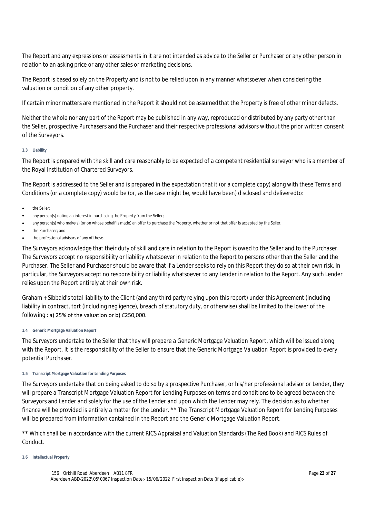The Report and any expressions or assessments in it are not intended as advice to the Seller or Purchaser or any other person in relation to an asking price or any other sales or marketing decisions.

The Report is based solely on the Property and is not to be relied upon in any manner whatsoever when considering the valuation or condition of any other property.

If certain minor matters are mentioned in the Report it should not be assumed that the Property is free of other minor defects.

Neither the whole nor any part of the Report may be published in any way, reproduced or distributed by any party other than the Seller, prospective Purchasers and the Purchaser and their respective professional advisors without the prior written consent of the Surveyors.

#### **1.3 Liability**

The Report is prepared with the skill and care reasonably to be expected of a competent residential surveyor who is a member of the Royal Institution of Chartered Surveyors.

The Report is addressed to the Seller and is prepared in the expectation that it (or a complete copy) along with these Terms and Conditions (or a complete copy) would be (or, as the case might be, would have been) disclosed and delivered to:

- the Seller;
- any person(s) noting an interest in purchasing the Property from the Seller;
- any person(s) who make(s) (or on whose behalf is made) an offer to purchase the Property, whether or not that offer is accepted by the Seller;
- the Purchaser; and
- the professional advisors of any of these.

The Surveyors acknowledge that their duty of skill and care in relation to the Report is owed to the Seller and to the Purchaser. The Surveyors accept no responsibility or liability whatsoever in relation to the Report to persons other than the Seller and the Purchaser. The Seller and Purchaser should be aware that if a Lender seeks to rely on this Report they do so at their own risk. In particular, the Surveyors accept no responsibility or liability whatsoever to any Lender in relation to the Report. Any such Lender relies upon the Report entirely at their own risk.

Graham + Sibbald's total liability to the Client (and any third party relying upon this report) under this Agreement (including liability in contract, tort (including negligence), breach of statutory duty, or otherwise) shall be limited to the lower of the following : a) 25% of the valuation or b) £250,000.

#### **1.4 Generic Mortgage Valuation Report**

The Surveyors undertake to the Seller that they will prepare a Generic Mortgage Valuation Report, which will be issued along with the Report. It is the responsibility of the Seller to ensure that the Generic Mortgage Valuation Report is provided to every potential Purchaser.

#### **1.5 Transcript Mortgage Valuation for Lending Purposes**

The Surveyors undertake that on being asked to do so by a prospective Purchaser, or his/her professional advisor or Lender, they will prepare a Transcript Mortgage Valuation Report for Lending Purposes on terms and conditions to be agreed between the Surveyors and Lender and solely for the use of the Lender and upon which the Lender may rely. The decision as to whether finance will be provided is entirely a matter for the Lender. \*\* The Transcript Mortgage Valuation Report for Lending Purposes will be prepared from information contained in the Report and the Generic Mortgage Valuation Report.

\*\* Which shall be in accordance with the current RICS Appraisal and Valuation Standards (The Red Book) and RICS Rules of Conduct.

#### **1.6 Intellectual Property**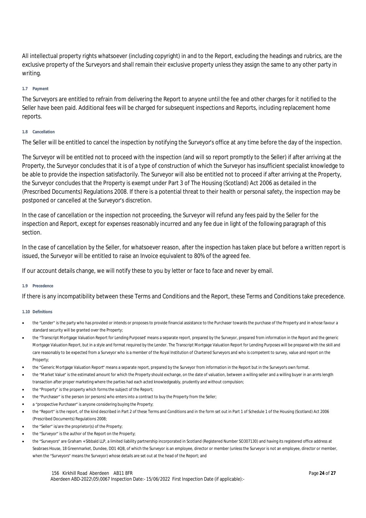All intellectual property rights whatsoever (including copyright) in and to the Report, excluding the headings and rubrics, are the exclusive property of the Surveyors and shall remain their exclusive property unless they assign the same to any other party in writing.

#### **1.7 Payment**

The Surveyors are entitled to refrain from delivering the Report to anyone until the fee and other charges for it notified to the Seller have been paid. Additional fees will be charged for subsequent inspections and Reports, including replacement home reports.

#### **1.8 Cancellation**

The Seller will be entitled to cancel the inspection by notifying the Surveyor's office at any time before the day of the inspection.

The Surveyor will be entitled not to proceed with the inspection (and will so report promptly to the Seller) if after arriving at the Property, the Surveyor concludes that it is of a type of construction of which the Surveyor has insufficient specialist knowledge to be able to provide the inspection satisfactorily. The Surveyor will also be entitled not to proceed if after arriving at the Property, the Surveyor concludes that the Property is exempt under Part 3 of The Housing (Scotland) Act 2006 as detailed in the (Prescribed Documents) Regulations 2008. If there is a potential threat to their health or personal safety, the inspection may be postponed or cancelled at the Surveyor's discretion.

In the case of cancellation or the inspection not proceeding, the Surveyor will refund any fees paid by the Seller for the inspection and Report, except for expenses reasonably incurred and any fee due in light of the following paragraph of this section.

In the case of cancellation by the Seller, for whatsoever reason, after the inspection has taken place but before a written report is issued, the Surveyor will be entitled to raise an Invoice equivalent to 80% of the agreed fee.

If our account details change, we will notify these to you by letter or face to face and never by email.

#### **1.9 Precedence**

If there is any incompatibility between these Terms and Conditions and the Report, these Terms and Conditions take precedence.

#### **1.10 Definitions**

- the "Lender" is the party who has provided or intends or proposes to provide financial assistance to the Purchaser towards the purchase of the Property and in whose favour a standard security will be granted over the Property;
- the "Transcript Mortgage Valuation Report for Lending Purposes" means a separate report, prepared by the Surveyor, prepared from information in the Report and the generic Mortgage Valuation Report, but in a style and format required by the Lender. The Transcript Mortgage Valuation Report for Lending Purposes will be prepared with the skill and care reasonably to be expected from a Surveyor who is a member of the Royal Institution of Chartered Surveyors and who is competent to survey, value and report on the Property;
- the "Generic Mortgage Valuation Report" means a separate report, prepared by the Surveyor from information in the Report but in the Surveyor's own format.
- the "Market Value" is the estimated amount for which the Property should exchange, on the date of valuation, between a willing seller and a willing buyer in an arm's length transaction after proper marketing where the parties had each acted knowledgeably, prudently and without compulsion;
- the "Property" is the property which forms the subject of the Report;
- the "Purchaser" is the person (or persons) who enters into a contract to buy the Property from the Seller;
- a "prospective Purchaser" is anyone considering buying the Property;
- the "Report" is the report, of the kind described in Part 2 of these Terms and Conditions and in the form set out in Part 1 of Schedule 1 of the Housing (Scotland) Act 2006 (Prescribed Documents) Regulations 2008;
- the "Seller" is/are the proprietor(s) of the Property;
- the "Surveyor" is the author of the Report on the Property;
- the "Surveyors" are Graham + SIbbald LLP, a limited liability partnership incorporated in Scotland (Registered Number SO307130) and having its registered office address at Seabraes House, 18 Greenmarket, Dundee, DD1 4QB, of which the Surveyor is an employee, director or member (unless the Surveyor is not an employee, director or member, when the "Surveyors" means the Surveyor) whose details are set out at the head of the Report; and

156 Kirkhill Road Aberdeen AB11 8FR Aberdeen ABD-2022\05\0067 Inspection Date:- 15/06/2022 First Inspection Date (if applicable):-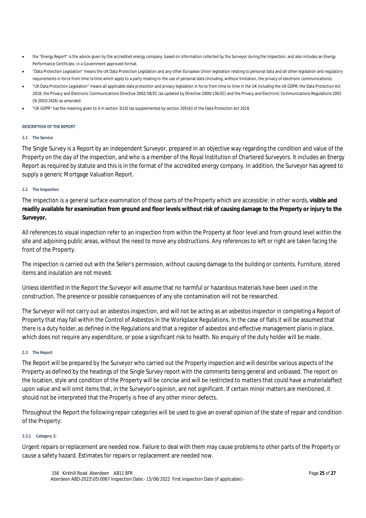- the "Energy Report" is the advice given by the accredited energy company, based on information collected by the Surveyor during the Inspection, and also includes an Energy Performance Certificate, in a Government approved format.
- "Data Protection Legislation" means the UK Data Protection Legislation and any other European Union legislation relating to personal data and all other legislation and regulatory requirements in force from time to time which apply to a party relating to the use of personal data (including, without limitation, the privacy of electronic communications).
- "UK Data Protection Legislation" means all applicable data protection and privacy legislation in force from time to time in the UK including the UK GDPR; the Data Protection Act 2018; the Privacy and Electronic Communications Directive 2002/58/EC (as updated by Directive 2009/136/EC) and the Privacy and Electronic Communications Regulations 2003 (SI 2003/2426) as amended.
- "UK GDPR" has the meaning given to it in section 3(10) (as supplemented by section 205(4)) of the Data Protection Act 2018.

#### **DESCRIPTION OF THE REPORT**

#### **2.1 The Service**

The Single Survey is a Report by an independent Surveyor, prepared in an objective way regarding the condition and value of the Property on the day of the inspection, and who is a member of the Royal Institution of Chartered Surveyors. It includes an Energy Report as required by statute and this is in the format of the accredited energy company. In addition, the Surveyor has agreed to supply a generic Mortgage Valuation Report.

#### **2.2 The Inspection**

The inspection is a general surface examination of those parts of the Property which are accessible: in other words, **visible and readily available for examination from ground and floor levels without risk of causing damage to the Property or injury to the Surveyor.**

All references to visual inspection refer to an inspection from within the Property at floor level and from ground level within the site and adjoining public areas, without the need to move any obstructions. Any references to left or right are taken facing the front of the Property.

The inspection is carried out with the Seller's permission, without causing damage to the building or contents. Furniture, stored items and insulation are not moved.

Unless identified in the Report the Surveyor will assume that no harmful or hazardous materials have been used in the construction. The presence or possible consequences of any site contamination will not be researched.

The Surveyor will not carry out an asbestos inspection, and will not be acting as an asbestos inspector in completing a Report of Property that may fall within the Control of Asbestos in the Workplace Regulations. In the case of flats it will be assumed that there is a duty holder, as defined in the Regulations and that a register of asbestos and effective management planis in place, which does not require any expenditure, or pose a significant risk to health. No enquiry of the duty holder will be made.

#### **2.3 The Report**

The Report will be prepared by the Surveyor who carried out the Property inspection and will describe various aspects of the Property as defined by the headings of the Single Survey report with the comments being general and unbiased. The report on the location, style and condition of the Property will be concise and will be restricted to matters that could have a material affect upon value and will omit items that, in the Surveyor's opinion, are not significant. If certain minor matters are mentioned, it should not be interpreted that the Property is free of any other minor defects.

Throughout the Report the following repair categories will be used to give an overall opinion of the state of repair and condition of the Property:

#### **2.3.1 Category 3:**

Urgent repairs or replacement are needed now. Failure to deal with them may cause problems to other parts of the Property or cause a safety hazard. Estimates for repairs or replacement are needed now.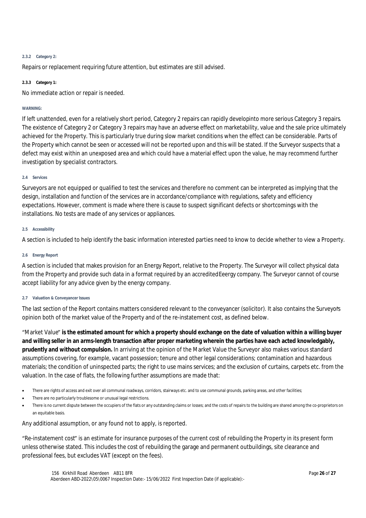#### **2.3.2 Category 2:**

Repairs or replacement requiring future attention, but estimates are still advised.

#### **2.3.3 Category 1:**

No immediate action or repair is needed.

#### **WARNING:**

If left unattended, even for a relatively short period, Category 2 repairs can rapidly developinto more serious Category 3 repairs. The existence of Category 2 or Category 3 repairs may have an adverse effect on marketability, value and the sale price ultimately achieved for the Property. This is particularly true during slow market conditions when the effect can be considerable. Parts of the Property which cannot be seen or accessed will not be reported upon and this will be stated. If the Surveyor suspects that a defect may exist within an unexposed area and which could have a material effect upon the value, he may recommend further investigation by specialist contractors.

#### **2.4 Services**

Surveyors are not equipped or qualified to test the services and therefore no comment can be interpreted as implying that the design, installation and function of the services are in accordance/compliance with regulations, safety and efficiency expectations. However, comment is made where there is cause to suspect significant defects or shortcomings with the installations. No tests are made of any services or appliances.

#### **2.5 Accessibility**

A section is included to help identify the basic information interested parties need to know to decide whether to view a Property.

#### **2.6 Energy Report**

A section is included that makes provision for an Energy Report, relative to the Property. The Surveyor will collect physical data from the Property and provide such data in a format required by an accredited Eeergy company. The Surveyor cannot of course accept liability for any advice given by the energy company.

#### **2.7 Valuation & Conveyancer Issues**

The last section of the Report contains matters considered relevant to the conveyancer (solicitor). It also contains the Surveyor's opinion both of the market value of the Property and of the re-instatement cost, as defined below.

"Market Value" **is the estimated amount for which a property should exchange on the date of valuation within a willing buyer and willing seller in an arms-length transaction after proper marketing wherein the parties have each acted knowledgably, prudently and without compulsion.** In arriving at the opinion of the Market Value the Surveyor also makes various standard assumptions covering, for example, vacant possession; tenure and other legal considerations; contamination and hazardous materials; the condition of uninspected parts; the right to use mains services; and the exclusion of curtains, carpets etc. from the valuation. In the case of flats, the following further assumptions are made that:

- There are rights of access and exit over all communal roadways, corridors, stairways etc. and to use communal grounds, parking areas, and other facilities;
- There are no particularly troublesome or unusual legal restrictions.
- There is no current dispute between the occupiers of the flats or any outstanding claims or losses; and the costs of repairs to the building are shared among the co-proprietors on an equitable basis.

Any additional assumption, or any found not to apply, is reported.

"Re-instatement cost" is an estimate for insurance purposes of the current cost of rebuilding the Property in its present form unless otherwise stated. This includes the cost of rebuilding the garage and permanent outbuildings, site clearance and professional fees, but excludes VAT (except on the fees).